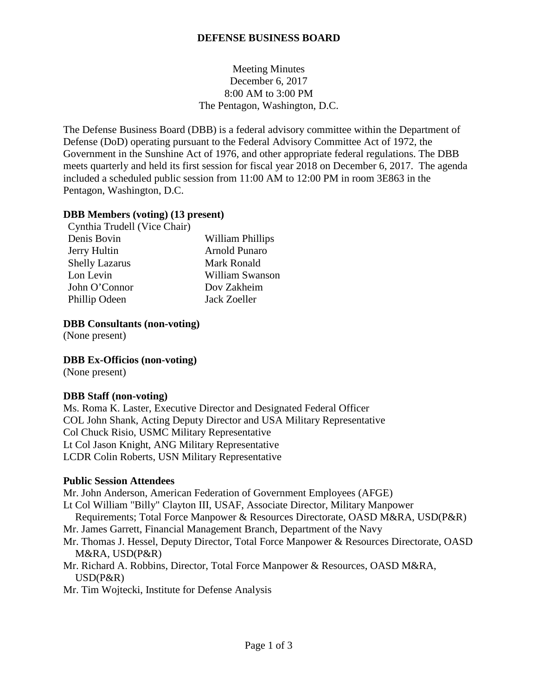## **DEFENSE BUSINESS BOARD**

Meeting Minutes December 6, 2017 8:00 AM to 3:00 PM The Pentagon, Washington, D.C.

The Defense Business Board (DBB) is a federal advisory committee within the Department of Defense (DoD) operating pursuant to the Federal Advisory Committee Act of 1972, the Government in the Sunshine Act of 1976, and other appropriate federal regulations. The DBB meets quarterly and held its first session for fiscal year 2018 on December 6, 2017. The agenda included a scheduled public session from 11:00 AM to 12:00 PM in room 3E863 in the Pentagon, Washington, D.C.

### **DBB Members (voting) (13 present)**

| Cynthia Trudell (Vice Chair) |                      |
|------------------------------|----------------------|
| Denis Bovin                  | William Phillips     |
| Jerry Hultin                 | <b>Arnold Punaro</b> |
| <b>Shelly Lazarus</b>        | Mark Ronald          |
| Lon Levin                    | William Swanson      |
| John O'Connor                | Dov Zakheim          |
| Phillip Odeen                | Jack Zoeller         |

#### **DBB Consultants (non-voting)**

(None present)

**DBB Ex-Officios (non-voting)**

(None present)

# **DBB Staff (non-voting)**

Ms. Roma K. Laster, Executive Director and Designated Federal Officer COL John Shank, Acting Deputy Director and USA Military Representative Col Chuck Risio, USMC Military Representative Lt Col Jason Knight, ANG Military Representative LCDR Colin Roberts, USN Military Representative

#### **Public Session Attendees**

Mr. John Anderson, American Federation of Government Employees (AFGE)

- Lt Col William "Billy" Clayton III, USAF, Associate Director, Military Manpower
- Requirements; Total Force Manpower & Resources Directorate, OASD M&RA, USD(P&R)
- Mr. James Garrett, Financial Management Branch, Department of the Navy
- Mr. Thomas J. Hessel, Deputy Director, Total Force Manpower & Resources Directorate, OASD M&RA, USD(P&R)
- Mr. Richard A. Robbins, Director, Total Force Manpower & Resources, OASD M&RA, USD(P&R)
- Mr. Tim Wojtecki, Institute for Defense Analysis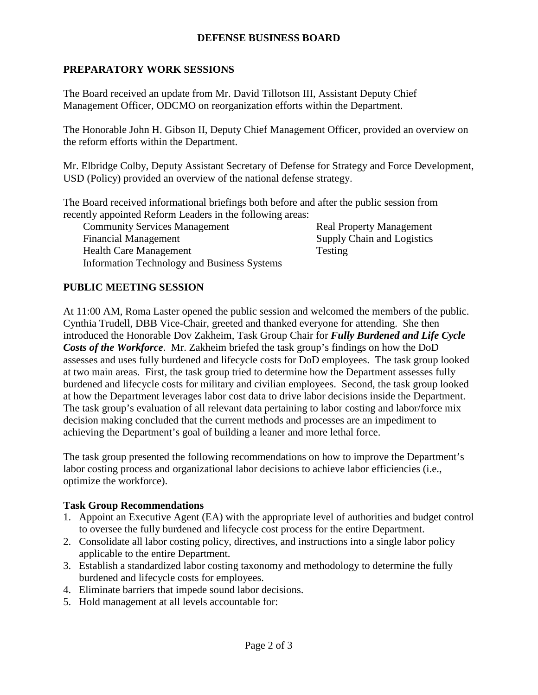## **DEFENSE BUSINESS BOARD**

## **PREPARATORY WORK SESSIONS**

The Board received an update from Mr. David Tillotson III, Assistant Deputy Chief Management Officer, ODCMO on reorganization efforts within the Department.

The Honorable John H. Gibson II, Deputy Chief Management Officer, provided an overview on the reform efforts within the Department.

Mr. Elbridge Colby, Deputy Assistant Secretary of Defense for Strategy and Force Development, USD (Policy) provided an overview of the national defense strategy.

The Board received informational briefings both before and after the public session from recently appointed Reform Leaders in the following areas:

Community Services Management Real Property Management Financial Management Supply Chain and Logistics Health Care Management Testing Information Technology and Business Systems

# **PUBLIC MEETING SESSION**

At 11:00 AM, Roma Laster opened the public session and welcomed the members of the public. Cynthia Trudell, DBB Vice-Chair, greeted and thanked everyone for attending. She then introduced the Honorable Dov Zakheim, Task Group Chair for *Fully Burdened and Life Cycle Costs of the Workforce*. Mr. Zakheim briefed the task group's findings on how the DoD assesses and uses fully burdened and lifecycle costs for DoD employees. The task group looked at two main areas. First, the task group tried to determine how the Department assesses fully burdened and lifecycle costs for military and civilian employees. Second, the task group looked at how the Department leverages labor cost data to drive labor decisions inside the Department. The task group's evaluation of all relevant data pertaining to labor costing and labor/force mix decision making concluded that the current methods and processes are an impediment to achieving the Department's goal of building a leaner and more lethal force.

The task group presented the following recommendations on how to improve the Department's labor costing process and organizational labor decisions to achieve labor efficiencies (i.e., optimize the workforce).

#### **Task Group Recommendations**

- 1. Appoint an Executive Agent (EA) with the appropriate level of authorities and budget control to oversee the fully burdened and lifecycle cost process for the entire Department.
- 2. Consolidate all labor costing policy, directives, and instructions into a single labor policy applicable to the entire Department.
- 3. Establish a standardized labor costing taxonomy and methodology to determine the fully burdened and lifecycle costs for employees.
- 4. Eliminate barriers that impede sound labor decisions.
- 5. Hold management at all levels accountable for: